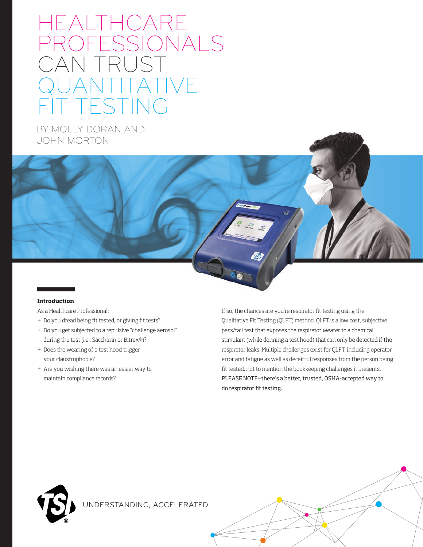# HEALTHCARE PROFESSIONALS CAN TRUST TATIVE T TESTING

BY MOLLY DORAN AND JOHN MORTON

#### **Introduction**

As a Healthcare Professional:

- + Do you dread being fit tested, or giving fit tests?
- + Do you get subjected to a repulsive "challenge aerosol" during the test (i.e., Saccharin or Bitrex®)?
- + Does the wearing of a test hood trigger your claustrophobia?
- + Are you wishing there was an easier way to maintain compliance records?

If so, the chances are you're respirator fit testing using the Qualitative Fit Testing (QLFT) method. QLFT is a low cost, subjective pass/fail test that exposes the respirator wearer to a chemical stimulant (while donning a test hood) that can only be detected if the respirator leaks. Multiple challenges exist for QLFT, including operator error and fatigue as well as deceitful responses from the person being fit tested, not to mention the bookkeeping challenges it presents. PLEASE NOTE—there's a better, trusted, OSHA-accepted way to do respirator fit testing.



UNDERSTANDING, ACCELERATED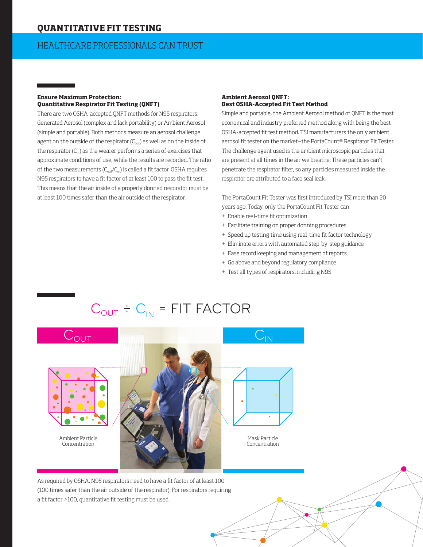## **QUANTITATIVE FIT TESTING**

## HEALTHCARE PROFESSIONALS CAN TRUST

#### **Ensure Maximum Protection: Quantitative Respirator Fit Testing (QNFT)**

There are two OSHA-accepted QNFT methods for N95 respirators: Generated Aerosol (complex and lack portability) or Ambient Aerosol (simple and portable). Both methods measure an aerosol challenge agent on the outside of the respirator  $(C_{out})$  as well as on the inside of the respirator  $(C_{in})$  as the wearer performs a series of exercises that approximate conditions of use, while the results are recorded. The ratio of the two measurements  $(C_{out}/C_{in})$  is called a fit factor. OSHA requires N95 respirators to have a fit factor of at least 100 to pass the fit test. This means that the air inside of a properly donned respirator must be at least 100 times safer than the air outside of the respirator.

#### **Ambient Aerosol QNFT: Best OSHA-Accepted Fit Test Method**

Simple and portable, the Ambient Aerosol method of QNFT is the most economical and industry preferred method along with being the best OSHA-accepted fit test method. TSI manufacturers the only ambient aerosol fit tester on the market-the PortaCount® Respirator Fit Tester. The challenge agent used is the ambient microscopic particles that are present at all times in the air we breathe. These particles can't penetrate the respirator filter, so any particles measured inside the respirator are attributed to a face seal leak.

The PortaCount Fit Tester was first introduced by TSI more than 20 years ago. Today, only the PortaCount Fit Tester can:

- + Enable real-time fit optimization
- + Facilitate training on proper donning procedures
- + Speed up testing time using real-time fit factor technology
- + Eliminate errors with automated step-by-step guidance
- + Ease record keeping and management of reports
- + Go above and beyond regulatory compliance
- + Test all types of respirators, including N95

## $C_{OUT} \div C_{IN} = FIT$  FACTOR

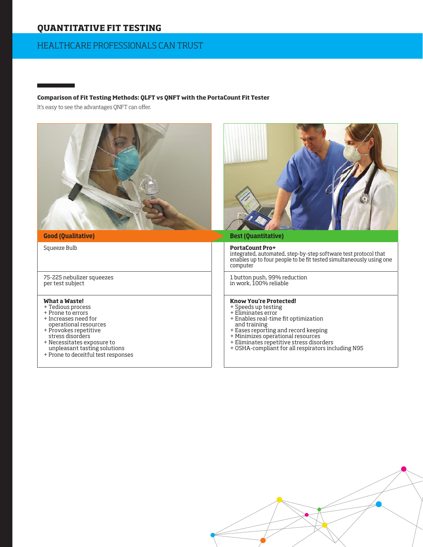## **QUANTITATIVE FIT TESTING**

## HEALTHCARE PROFESSIONALS CAN TRUST

**Comparison of Fit Testing Methods: QLFT vs QNFT with the PortaCount Fit Tester** 

It's easy to see the advantages QNFT can offer.